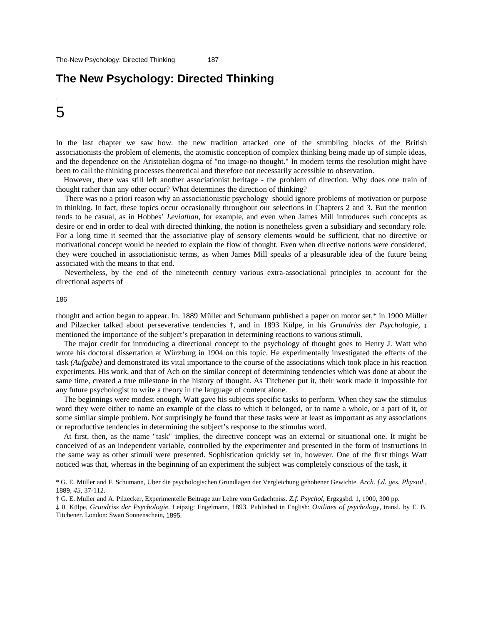# **The New Psychology: Directed Thinking**

5

In the last chapter we saw how. the new tradition attacked one of the stumbling blocks of the British associationists-the problem of elements, the atomistic conception of complex thinking being made up of simple ideas, and the dependence on the Aristotelian dogma of "no image-no thought." In modern terms the resolution might have been to call the thinking processes theoretical and therefore not necessarily accessible to observation.

However, there was still left another associationist heritage - the problem of direction. Why does one train of thought rather than any other occur? What determines the direction of thinking?

There was no a priori reason why an associationistic psychology should ignore problems of motivation or purpose in thinking. In fact, these topics occur occasionally throughout our selections in Chapters 2 and 3. But the mention tends to be casual, as in Hobbes' *Leviathan,* for example, and even when James Mill introduces such concepts as desire or end in order to deal with directed thinking, the notion is nonetheless given a subsidiary and secondary role. For a long time it seemed that the associative play of sensory elements would be sufficient, that no directive or motivational concept would be needed to explain the flow of thought. Even when directive notions were considered, they were couched in associationistic terms, as when James Mill speaks of a pleasurable idea of the future being associated with the means to that end.

Nevertheless, by the end of the nineteenth century various extra-associational principles to account for the directional aspects of

#### 186

thought and action began to appear. In. 1889 Müller and Schumann published a paper on motor set,\* in 1900 Müller and Pilzecker talked about perseverative tendencies †, and in 1893 Külpe, in his *Grundriss der Psychologie,* **‡** mentioned the importance of the subject's preparation in determining reactions to various stimuli.

The major credit for introducing a directional concept to the psychology of thought goes to Henry J. Watt who wrote his doctoral dissertation at Würzburg in 1904 on this topic. He experimentally investigated the effects of the task *(Aufgabe)* and demonstrated its vital importance to the course of the associations which took place in his reaction experiments. His work, and that of Ach on the similar concept of determining tendencies which was done at about the same time, created a true milestone in the history of thought. As Titchener put it, their work made it impossible for any future psychologist to write a theory in the language of content alone.

The beginnings were modest enough. Watt gave his subjects specific tasks to perform. When they saw the stimulus word they were either to name an example of the class to which it belonged, or to name a whole, or a part of it, or some similar simple problem. Not surprisingly be found that these tasks were at least as important as any associations or reproductive tendencies in determining the subject's response to the stimulus word.

At first, then, as the name "task" implies, the directive concept was an external or situational one. It might be conceived of as an independent variable, controlled by the experimenter and presented in the form of instructions in the same way as other stimuli were presented. Sophistication quickly set in, however. One of the first things Watt noticed was that, whereas in the beginning of an experiment the subject was completely conscious of the task, it

\* G. E. Müller and F. Schumann, Über die psychologischen Grundlagen der Vergleichung gehobener Gewichte. *Arch. f.d. ges. Physiol.,* 1889*, 45,* 37-112.

† G. E. Müller and A. Pilzecker, Experimentelle Beiträge zur Lehre vom Gedächtniss. *Z.f. Psychol,* Ergzgsbd. 1, 1900, 300 pp.

‡ 0. Külpe, *Grundriss der Psychologie.* Leipzig: Engelmann, 1893*.* Published in English: *Outlines of psychology,* transl. by E. B. Titchener. London: Swan Sonnenschein, 1895**.**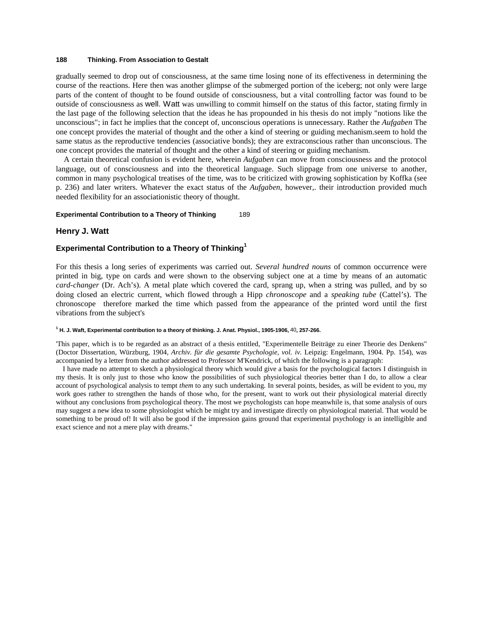### **188 Thinking. From Association to Gestalt**

gradually seemed to drop out of consciousness, at the same time losing none of its effectiveness in determining the course of the reactions. Here then was another glimpse of the submerged portion of the iceberg; not only were large parts of the content of thought to be found outside of consciousness, but a vital controlling factor was found to be outside of consciousness as well. Watt was unwilling to commit himself on the status of this factor, stating firmly in the last page of the following selection that the ideas he has propounded in his thesis do not imply "notions like the unconscious"; in fact he implies that the concept of, unconscious operations is unnecessary. Rather the *Aufgaben* The one concept provides the material of thought and the other a kind of steering or guiding mechanism.seem to hold the same status as the reproductive tendencies (associative bonds); they are extraconscious rather than unconscious. The one concept provides the material of thought and the other a kind of steering or guiding mechanism.

A certain theoretical confusion is evident here, wherein *Aufgaben* can move from consciousness and the protocol language, out of consciousness and into the theoretical language. Such slippage from one universe to another, common in many psychological treatises of the time, was to be criticized with growing sophistication by Koffka (see p. 236) and later writers. Whatever the exact status of the *Aufgaben,* however,. their introduction provided much needed flexibility for an associationistic theory of thought.

## **Experimental Contribution to a Theory of Thinking** 189

# **Henry J. Watt**

# **Experimental Contribution to a Theory of Thinking<sup>1</sup>**

For this thesis a long series of experiments was carried out. *Several hundred nouns* of common occurrence were printed in big, type on cards and were shown to the observing subject one at a time by means of an automatic *card-changer* (Dr. Ach's). A metal plate which covered the card, sprang up, when a string was pulled, and by so doing closed an electric current, which flowed through a Hipp *chronoscope* and a *speaking tube* (Cattel's). The chronoscope therefore marked the time which passed from the appearance of the printed word until the first vibrations from the subject's

#### **1 H. J. Waft, Experimental contribution to a theory of thinking. J. Anat. Physiol., 1905-1906,** 40**, 257-266.**

'This paper, which is to be regarded as an abstract of a thesis entitled, "Experimentelle Beiträge zu einer Theorie des Denkens" (Doctor Dissertation, Würzburg, 1904, *Archiv. für die gesamte Psychologie, vol. iv.* Leipzig: Engelmann, 1904. Pp. 154), was accompanied by a letter from the author addressed to Professor M'Kendrick, of which the following is a paragraph:

I have made no attempt to sketch a physiological theory which would give a basis for the psychological factors I distinguish in my thesis. It is only just to those who know the possibilities of such physiological theories better than I do, to allow a clear account of psychological analysis to tempt *them* to any such undertaking. In several points, besides, as will be evident to you, my work goes rather to strengthen the hands of those who, for the present, want to work out their physiological material directly without any conclusions from psychological theory. The most we psychologists can hope meanwhile is, that some analysis of ours may suggest a new idea to some physiologist which be might try and investigate directly on physiological material. That would be something to be proud of! It will also be good if the impression gains ground that experimental psychology is an intelligible and exact science and not a mere play with dreams."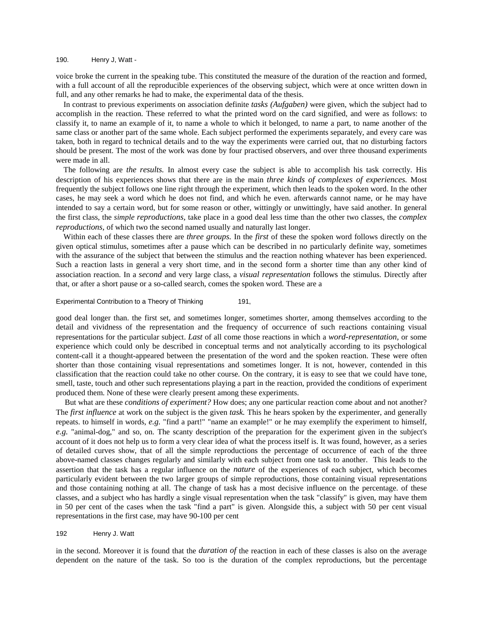#### 190. Henry J, Watt -

voice broke the current in the speaking tube. This constituted the measure of the duration of the reaction and formed, with a full account of all the reproducible experiences of the observing subject, which were at once written down in full, and any other remarks he had to make, the experimental data of the thesis.

In contrast to previous experiments on association definite *tasks (Aufgaben)* were given, which the subject had to accomplish in the reaction. These referred to what the printed word on the card signified, and were as follows: to classify it, to name an example of it, to name a whole to which it belonged, to name a part, to name another of the same class or another part of the same whole. Each subject performed the experiments separately, and every care was taken, both in regard to technical details and to the way the experiments were carried out, that no disturbing factors should be present. The most of the work was done by four practised observers, and over three thousand experiments were made in all.

The following are *the results.* In almost every case the subject is able to accomplish his task correctly. His description of his experiences shows that there are in the main *three kinds of complexes of experiences.* Most frequently the subject follows one line right through the experiment, which then leads to the spoken word. In the other cases, he may seek a word which he does not find, and which he even. afterwards cannot name, or he may have intended to say a certain word, but for some reason or other, wittingly or unwittingly, have said another. In general the first class, the *simple reproductions,* take place in a good deal less time than the other two classes, the *complex reproductions,* of which two the second named usually and naturally last longer.

Within each of these classes there are *three groups.* In the *first* of these the spoken word follows directly on the given optical stimulus, sometimes after a pause which can be described in no particularly definite way, sometimes with the assurance of the subject that between the stimulus and the reaction nothing whatever has been experienced. Such a reaction lasts in general a very short time, and in the second form a shorter time than any other kind of association reaction. In a *second* and very large class, a *visual representation* follows the stimulus. Directly after that, or after a short pause or a so-called search, comes the spoken word. These are a

Experimental Contribution to a Theory of Thinking 191,

good deal longer than. the first set, and sometimes longer, sometimes shorter, among themselves according to the detail and vividness of the representation and the frequency of occurrence of such reactions containing visual representations for the particular subject. *Last* of all come those reactions in which a *word-representation,* or some experience which could only be described in conceptual terms and not analytically according to its psychological content-call it a thought-appeared between the presentation of the word and the spoken reaction. These were often shorter than those containing visual representations and sometimes longer. It is not, however, contended in this classification that the reaction could take no other course. On the contrary, it is easy to see that we could have tone, smell, taste, touch and other such representations playing a part in the reaction, provided the conditions of experiment produced them. None of these were clearly present among these experiments.

But what are these *conditions of experiment?* How does; any one particular reaction come about and not another? The *first influence* at work on the subject is the given *task.* This he hears spoken by the experimenter, and generally repeats. to himself in words, *e.g.* "find a part!" "name an example!" or he may exemplify the experiment to himself, *e.g.* "animal-dog," and so, on. The scanty description of the preparation for the experiment given in the subject's account of it does not help us to form a very clear idea of what the process itself is. It was found, however, as a series of detailed curves show, that of all the simple reproductions the percentage of occurrence of each of the three above-named classes changes regularly and similarly with each subject from one task to another. This leads to the assertion that the task has a regular influence on the *nature* of the experiences of each subject, which becomes particularly evident between the two larger groups of simple reproductions, those containing visual representations and those containing nothing at all. The change of task has a most decisive influence on the percentage. of these classes, and a subject who has hardly a single visual representation when the task "classify" is given, may have them in 50 per cent of the cases when the task "find a part" is given. Alongside this, a subject with 50 per cent visual representations in the first case, may have 90-100 per cent

#### 192 Henry J. Watt

in the second. Moreover it is found that the *duration of* the reaction in each of these classes is also on the average dependent on the nature of the task. So too is the duration of the complex reproductions, but the percentage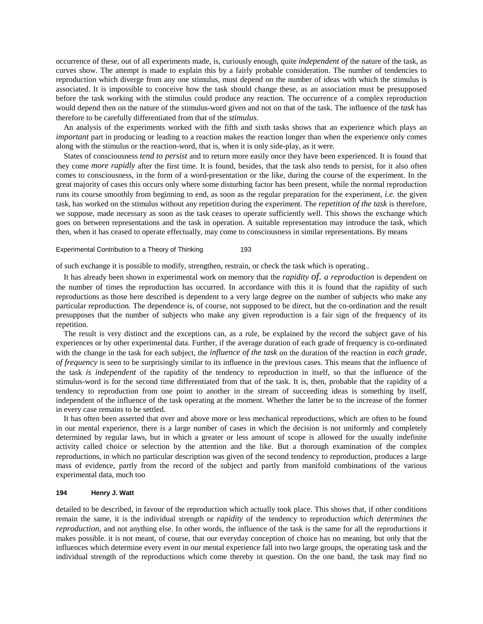occurrence of these, out of all experiments made, is, curiously enough, quite *independent of* the nature of the task, as curves show. The attempt is made to explain this by a fairly probable consideration. The number of tendencies to reproduction which diverge from any one stimulus, must depend on the number of ideas with which the stimulus is associated. It is impossible to conceive how the task should change these, as an association must be presupposed before the task working with the stimulus could produce any reaction. The occurrence of a complex reproduction would depend then on the nature of the stimulus-word given and not on that of the task. The influence of the *task* has therefore to be carefully differentiated from that of the *stimulus.*

An analysis of the experiments worked with the fifth and sixth tasks shows that an experience which plays an *important* part in producing or leading to a reaction makes the reaction longer than when the experience only comes along with the stimulus or the reaction-word, that is, when it is only side-play, as it were.

States of consciousness *tend to persist* and to return more easily once they have been experienced. It is found that they come *more rapidly* after the first time. It is found, besides, that the task also tends to persist, for it also often comes to consciousness, in the form of a word-presentation or the like, during the course of the experiment. In the great majority of cases this occurs only where some disturbing factor has been present, while the normal reproduction runs its course smoothly from beginning to end, as soon as the regular preparation for the experiment, *i.e.* the given task, has worked on the stimulus without any repetition during the experiment. The *repetition of the task* is therefore, we suppose, made necessary as soon as the task ceases to operate sufficiently well. This shows the exchange which goes on between representations and the task in operation. A suitable representation may introduce the task, which then, when it has ceased to operate effectually, may come to consciousness in similar representations. By means

Experimental Contribution to a Theory of Thinking 193

of such exchange it is possible to modify, strengthen, restrain, or check the task which is operating..

It has already been shown in experimental work on memory that the *rapidity of*. *a reproduction* is dependent on the number of times the reproduction has occurred. In accordance with this it is found that the rapidity of such reproductions as those here described is dependent to a very large degree on the number of subjects who make any particular reproduction. The dependence is, of course, not supposed to be direct, but the co-ordination and the result presupposes that the number of subjects who make any given reproduction is a fair sign of the frequency of its repetition.

The result is very distinct and the exceptions can, as a rule, be explained by the record the subject gave of his experiences or by other experimental data. Further, if the average duration of each grade of frequency is co-ordinated with the change in the task for each subject, the *influence of the task* on the duration of the reaction in *each grade, of frequency* is seen to be surprisingly similar to its influence in the previous cases. This means that the influence of the task *is independent* of the rapidity of the tendency to reproduction in itself, so that the influence of the stimulus-word is for the second time differentiated from that of the task. It is, then, probable that the rapidity of a tendency to reproduction from one point to another in the stream of succeeding ideas is something by itself, independent of the influence of the task operating at the moment. Whether the latter be to the increase of the former in every case remains to be settled.

It has often been asserted that over and above more or less mechanical reproductions, which are often to be found in our mental experience, there is a large number of cases in which the decision is not uniformly and completely determined by regular laws, but in which a greater or less amount of scope is allowed for the usually indefinite activity called choice or selection by the attention and the like. But a thorough examination of the complex reproductions, in which no particular description was given of the second tendency to reproduction, produces a large mass of evidence, partly from the record of the subject and partly from manifold combinations of the various experimental data, much too

# **194 Henry J. Watt**

detailed to be described, in favour of the reproduction which actually took place. This shows that, if other conditions remain the same, it is the individual strength or *rapidity* of the tendency to reproduction *which determines the reproduction,* and not anything else. In other words, the influence of the task is the same for all the reproductions it makes possible. it is not meant, of course, that our everyday conception of choice has no meaning, but only that the influences which determine every event in our mental experience fall into two large groups, the operating task and the individual strength of the reproductions which come thereby in question. On the one band, the task may find no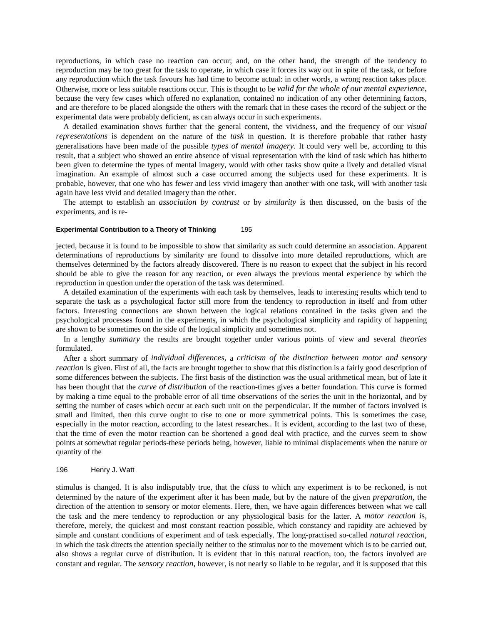reproductions, in which case no reaction can occur; and, on the other hand, the strength of the tendency to reproduction may be too great for the task to operate, in which case it forces its way out in spite of the task, or before any reproduction which the task favours has had time to become actual: in other words, a wrong reaction takes place. Otherwise, more or less suitable reactions occur. This is thought to be *valid for the whole of our mental experience,* because the very few cases which offered no explanation, contained no indication of any other determining factors, and are therefore to be placed alongside the others with the remark that in these cases the record of the subject or the experimental data were probably deficient, as can always occur in such experiments.

A detailed examination shows further that the general content, the vividness, and the frequency of our *visual representations* is dependent on the nature of the *task* in question. It is therefore probable that rather hasty generalisations have been made of the possible *types of mental imagery.* It could very well be, according to this result, that a subject who showed an entire absence of visual representation with the kind of task which has hitherto been given to determine the types of mental imagery, would with other tasks show quite a lively and detailed visual imagination. An example of almost such a case occurred among the subjects used for these experiments. It is probable, however, that one who has fewer and less vivid imagery than another with one task, will with another task again have less vivid and detailed imagery than the other.

The attempt to establish an *association by contrast* or by *sim*i*larity* is then discussed, on the basis of the experiments, and is re-

# **Experimental Contribution to a Theory of Thinking** 195

jected, because it is found to be impossible to show that similarity as such could determine an association. Apparent determinations of reproductions by similarity are found to dissolve into more detailed reproductions, which are themselves determined by the factors already discovered. There is no reason to expect that the subject in his record should be able to give the reason for any reaction, or even always the previous mental experience by which the reproduction in question under the operation of the task was determined.

A detailed examination of the experiments with each task by themselves, leads to interesting results which tend to separate the task as a psychological factor still more from the tendency to reproduction in itself and from other factors. Interesting connections are shown between the logical relations contained in the tasks given and the psychological processes found in the experiments, in which the psychological simplicity and rapidity of happening are shown to be sometimes on the side of the logical simplicity and sometimes not.

In a lengthy *summary* the results are brought together under various points of view and several *theories* formulated.

After a short summary of *individual differences,* a *criticism of the distinction between motor and sensory reaction* is given. First of all, the facts are brought together to show that this distinction is a fairly good description of some differences between the subjects. The first basis of the distinction was the usual arithmetical mean, but of late it has been thought that the *curve of distribution* of the reaction-times gives a better foundation. This curve is formed by making a time equal to the probable error of all time observations of the series the unit in the horizontal, and by setting the number of cases which occur at each such unit on the perpendicular. If the number of factors involved is small and limited, then this curve ought to rise to one or more symmetrical points. This is sometimes the case, especially in the motor reaction, according to the latest researches.. It is evident, according to the last two of these, that the time of even the motor reaction can be shortened a good deal with practice, and the curves seem to show points at somewhat regular periods-these periods being, however, liable to minimal displacements when the nature or quantity of the

#### 196 Henry J. Watt

stimulus is changed. It is also indisputably true, that the *class* to which any experiment is to be reckoned, is not determined by the nature of the experiment after it has been made, but by the nature of the given *preparation,* the direction of the attention to sensory or motor elements. Here, then, we have again differences between what we call the task and the mere tendency to reproduction or any physiological basis for the latter. A *motor reaction* is*,* therefore, merely, the quickest and most constant reaction possible, which constancy and rapidity are achieved by simple and constant conditions of experiment and of task especially. The long-practised so-called *natural reaction,* in which the task directs the attention specially neither to the stimulus nor to the movement which is to be carried out, also shows a regular curve of distribution. It is evident that in this natural reaction, too, the factors involved are constant and regular. The *sensory reaction,* however, is not nearly so liable to be regular, and it is supposed that this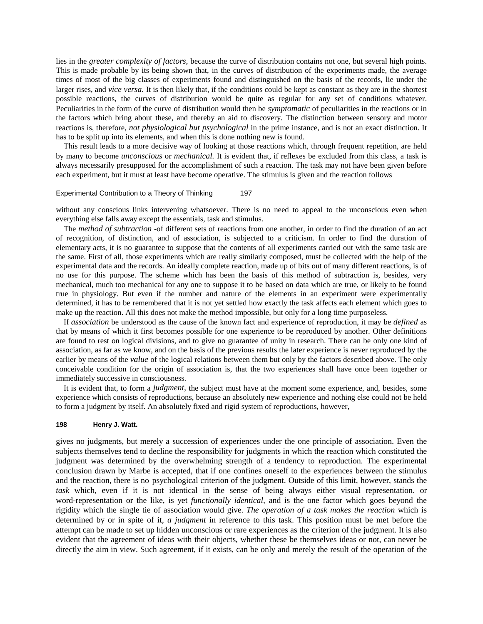lies in the *greater complexity of factors,* because the curve of distribution contains not one, but several high points. This is made probable by its being shown that, in the curves of distribution of the experiments made, the average times of most of the big classes of experiments found and distinguished on the basis of the records, lie under the larger rises, and *vice versa.* It is then likely that, if the conditions could be kept as constant as they are in the shortest possible reactions, the curves of distribution would be quite as regular for any set of conditions whatever. Peculiarities in the form of the curve of distribution would then be *symptomatic* of peculiarities in the reactions or in the factors which bring about these, and thereby an aid to discovery. The distinction between sensory and motor reactions is, therefore, *not physiological but psychological* in the prime instance, and is not an exact distinction. It has to be split up into its elements, and when this is done nothing new is found.

This result leads to a more decisive way of looking at those reactions which, through frequent repetition, are held by many to become *unconscious* or *mechanical.* It is evident that, if reflexes be excluded from this class, a task is always necessarily presupposed for the accomplishment of such a reaction. The task may not have been given before each experiment, but it must at least have become operative. The stimulus is given and the reaction follows

#### Experimental Contribution to a Theory of Thinking 197

without any conscious links intervening whatsoever. There is no need to appeal to the unconscious even when everything else falls away except the essentials, task and stimulus.

The *method of subtraction* -of different sets of reactions from one another, in order to find the duration of an act of recognition, of distinction, and of association, is subjected to a criticism. In order to find the duration of elementary acts, it is no guarantee to suppose that the contents of all experiments carried out with the same task are the same. First of all, those experiments which are really similarly composed, must be collected with the help of the experimental data and the records. An ideally complete reaction, made up of bits out of many different reactions, is of no use for this purpose. The scheme which has been the basis of this method of subtraction is, besides, very mechanical, much too mechanical for any one to suppose it to be based on data which are true, or likely to be found true in physiology. But even if the number and nature of the elements in an experiment were experimentally determined, it has to be remembered that it is not yet settled how exactly the task affects each element which goes to make up the reaction. All this does not make the method impossible, but only for a long time purposeless.

If *association* be understood as the cause of the known fact and experience of reproduction, it may be *defined* as that by means of which it first becomes possible for one experience to be reproduced by another. Other definitions are found to rest on logical divisions, and to give no guarantee of unity in research. There can be only one kind of association, as far as we know, and on the basis of the previous results the later experience is never reproduced by the earlier by means of the *value* of the logical relations between them but only by the factors described above. The only conceivable condition for the origin of association is, that the two experiences shall have once been together or immediately successive in consciousness.

It is evident that, to form a *judgment,* the subject must have at the moment some experience, and, besides, some experience which consists of reproductions, because an absolutely new experience and nothing else could not be held to form a judgment by itself. An absolutely fixed and rigid system of reproductions, however,

#### **198 Henry J. Watt.**

gives no judgments, but merely a succession of experiences under the one principle of association. Even the subjects themselves tend to decline the responsibility for judgments in which the reaction which constituted the judgment was determined by the overwhelming strength of a tendency to reproduction. The experimental conclusion drawn by Marbe is accepted, that if one confines oneself to the experiences between the stimulus and the reaction, there is no psychological criterion of the judgment. Outside of this limit, however, stands the *task* which, even if it is not identical in the sense of being always either visual representation. or word-representation or the like, is yet *functionally identical,* and is the one factor which goes beyond the rigidity which the single tie of association would give. *The operation of a task makes the reaction* which is determined by or in spite of it, *a judgment* in reference to this task. This position must be met before the attempt can be made to set up hidden unconscious or rare experiences as the criterion of the judgment. It is also evident that the agreement of ideas with their objects, whether these be themselves ideas or not, can never be directly the aim in view. Such agreement, if it exists, can be only and merely the result of the operation of the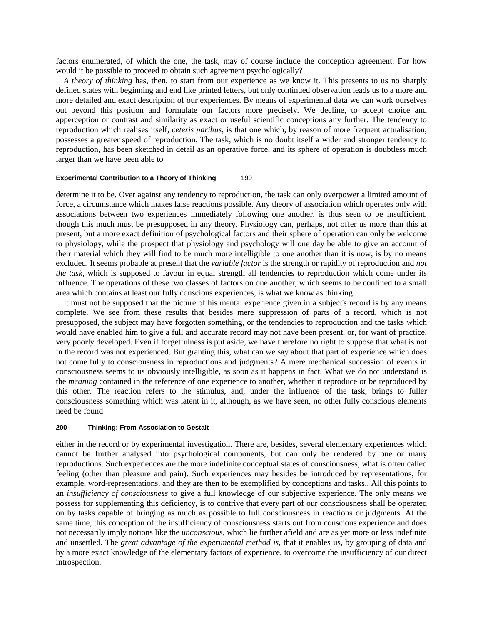factors enumerated, of which the one, the task, may of course include the conception agreement. For how would it be possible to proceed to obtain such agreement psychologically?

*A theory of thinking* has, then, to start from our experience as we know it. This presents to us no sharply defined states with beginning and end like printed letters, but only continued observation leads us to a more and more detailed and exact description of our experiences. By means of experimental data we can work ourselves out beyond this position and formulate our factors more precisely. We decline, to accept choice and apperception or contrast and similarity as exact or useful scientific conceptions any further. The tendency to reproduction which realises itself, *ceteris paribus,* is that one which, by reason of more frequent actualisation, possesses a greater speed of reproduction. The task, which is no doubt itself a wider and stronger tendency to reproduction, has been sketched in detail as an operative force, and its sphere of operation is doubtless much larger than we have been able to

# **Experimental Contribution to a Theory of Thinking** 199

determine it to be. Over against any tendency to reproduction, the task can only overpower a limited amount of force, a circumstance which makes false reactions possible. Any theory of association which operates only with associations between two experiences immediately following one another, is thus seen to be insufficient, though this much must be presupposed in any theory. Physiology can, perhaps, not offer us more than this at present, but a more exact definition of psychological factors and their sphere of operation can only be welcome to physiology, while the prospect that physiology and psychology will one day be able to give an account of their material which they will find to be much more intelligible to one another than it is now, is by no means excluded. It seems probable at present that the *variable factor* is the strength or rapidity of reproduction and *not the task,* which is supposed to favour in equal strength all tendencies to reproduction which come under its influence. The operations of these two classes of factors on one another, which seems to be confined to a small area which contains at least our fully conscious experiences, is what we know as thinking.

It must not be supposed that the picture of his mental experience given in a subject's record is by any means complete. We see from these results that besides mere suppression of parts of a record, which is not presupposed, the subject may have forgotten something, or the tendencies to reproduction and the tasks which would have enabled him to give a full and accurate record may not have been present, or, for want of practice, very poorly developed. Even if forgetfulness is put aside, we have therefore no right to suppose that what is not in the record was not experienced. But granting this, what can we say about that part of experience which does not come fully to consciousness in reproductions and judgments? A mere mechanical succession of events in consciousness seems to us obviously intelligible, as soon as it happens in fact. What we do not understand is the *meaning* contained in the reference of one experience to another, whether it reproduce or be reproduced by this other. The reaction refers to the stimulus, and, under the influence of the task, brings to fuller consciousness something which was latent in it, although, as we have seen, no other fully conscious elements need be found

# **200 Thinking: From Association to Gestalt**

either in the record or by experimental investigation. There are, besides, several elementary experiences which cannot be further analysed into psychological components, but can only be rendered by one or many reproductions. Such experiences are the more indefinite conceptual states of consciousness, what is often called feeling (other than pleasure and pain). Such experiences may besides be introduced by representations, for example, word-representations, and they are then to be exemplified by conceptions and tasks.. All this points to an *insufficiency of consciousness* to give a full knowledge of our subjective experience. The only means we possess for supplementing this deficiency, is to contrive that every part of our consciousness shall be operated on by tasks capable of bringing as much as possible to full consciousness in reactions or judgments. At the same time, this conception of the insufficiency of consciousness starts out from conscious experience and does not necessarily imply notions like the *unconscious,* which lie further afield and are as yet more or less indefinite and unsettled. The *great advantage of the experimental method is,* that it enables us, by grouping of data and by a more exact knowledge of the elementary factors of experience, to overcome the insufficiency of our direct introspection.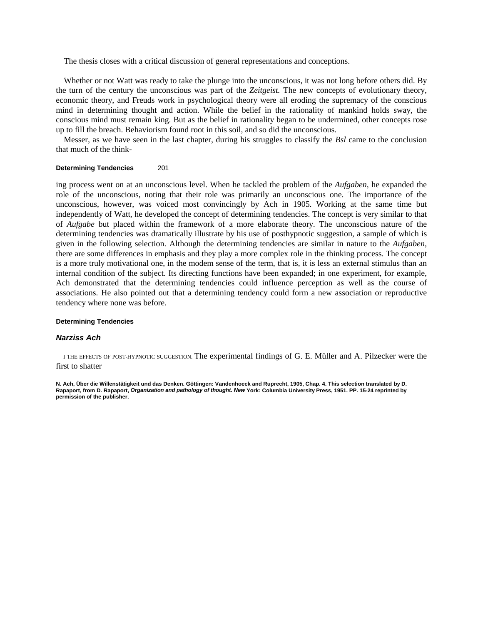The thesis closes with a critical discussion of general representations and conceptions.

Whether or not Watt was ready to take the plunge into the unconscious, it was not long before others did. By the turn of the century the unconscious was part of the *Zeitgeist.* The new concepts of evolutionary theory, economic theory, and Freuds work in psychological theory were all eroding the supremacy of the conscious mind in determining thought and action. While the belief in the rationality of mankind holds sway, the conscious mind must remain king. But as the belief in rationality began to be undermined, other concepts rose up to fill the breach. Behaviorism found root in this soil, and so did the unconscious.

Messer, as we have seen in the last chapter, during his struggles to classify the *Bsl* came to the conclusion that much of the think-

## **Determining Tendencies** 201

ing process went on at an unconscious level. When he tackled the problem of the *Aufgaben,* he expanded the role of the unconscious, noting that their role was primarily an unconscious one. The importance of the unconscious, however, was voiced most convincingly by Ach in 1905. Working at the same time but independently of Watt, he developed the concept of determining tendencies. The concept is very similar to that of *Aufgabe* but placed within the framework of a more elaborate theory. The unconscious nature of the determining tendencies was dramatically illustrate by his use of posthypnotic suggestion, a sample of which is given in the following selection. Although the determining tendencies are similar in nature to the *Aufgaben,* there are some differences in emphasis and they play a more complex role in the thinking process. The concept is a more truly motivational one, in the modem sense of the term, that is, it is less an external stimulus than an internal condition of the subject. Its directing functions have been expanded; in one experiment, for example, Ach demonstrated that the determining tendencies could influence perception as well as the course of associations. He also pointed out that a determining tendency could form a new association or reproductive tendency where none was before.

## **Determining Tendencies**

# *Narziss Ach*

I THE EFFECTS OF POST-HYPNOTIC SUGGESTION. The experimental findings of G. E. Müller and A. Pilzecker were the first to shatter

**N. Ach, Über die Willenstätigkeit und das Denken. Göttingen: Vandenhoeck and Ruprecht, 1905, Chap. 4. This selection translated by D. Rapaport, from D. Rapaport,** *Organization and pathology of thought. New* **York: Columbia University Press, 1951. PP. 15-24 reprinted by permission of the publisher.**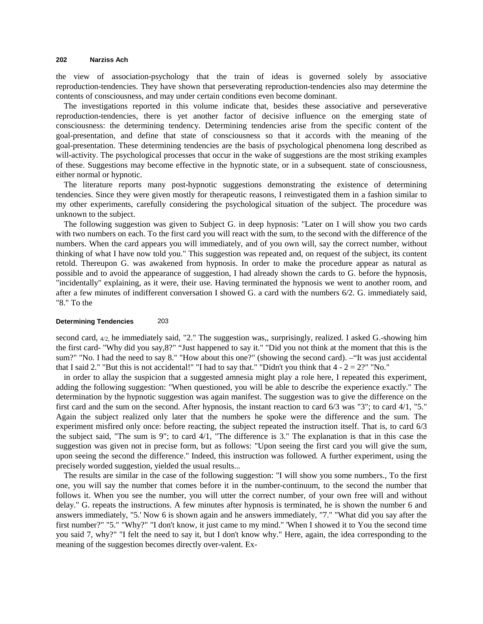## **202 Narziss Ach**

the view of association-psychology that the train of ideas is governed solely by associative reproduction-tendencies. They have shown that perseverating reproduction-tendencies also may determine the contents of consciousness, and may under certain conditions even become dominant.

The investigations reported in this volume indicate that, besides these associative and perseverative reproduction-tendencies, there is yet another factor of decisive influence on the emerging state of consciousness: the determining tendency. Determining tendencies arise from the specific content of the goal-presentation, and define that state of consciousness so that it accords with the meaning of the goal-presentation. These determining tendencies are the basis of psychological phenomena long described as will-activity. The psychological processes that occur in the wake of suggestions are the most striking examples of these. Suggestions may become effective in the hypnotic state, or in a subsequent. state of consciousness, either normal or hypnotic.

The literature reports many post-hypnotic suggestions demonstrating the existence of determining tendencies. Since they were given mostly for therapeutic reasons, I reinvestigated them in a fashion similar to my other experiments, carefully considering the psychological situation of the subject. The procedure was unknown to the subject.

The following suggestion was given to Subject G. in deep hypnosis: "Later on I will show you two cards with two numbers on each. To the first card you will react with the sum, to the second with the difference of the numbers. When the card appears you will immediately, and of you own will, say the correct number, without thinking of what I have now told you." This suggestion was repeated and, on request of the subject, its content retold. Thereupon G. was awakened from hypnosis. In order to make the procedure appear as natural as possible and to avoid the appearance of suggestion, I had already shown the cards to G. before the hypnosis, "incidentally" explaining, as it were, their use. Having terminated the hypnosis we went to another room, and after a few minutes of indifferent conversation I showed G. a card with the numbers 6/2. G. immediately said, "8." To the

## **Determining Tendencies** 203

second card, 4/2, he immediately said, "2." The suggestion was,, surprisingly, realized. I asked G.-showing him the first card- "Why did you say,8?" "Just happened to say it." "Did you not think at the moment that this is the sum?" "No. I had the need to say 8." "How about this one?" (showing the second card). –"It was just accidental that I said 2." "But this is not accidental!" "I had to say that." "Didn't you think that  $4 - 2 = 2$ ?" "No."

in order to allay the suspicion that a suggested amnesia might play a role here, I repeated this experiment, adding the following suggestion: "When questioned, you will be able to describe the experience exactly." The determination by the hypnotic suggestion was again manifest. The suggestion was to give the difference on the first card and the sum on the second. After hypnosis, the instant reaction to card 6/3 was "3"; to card 4/1, "5." Again the subject realized only later that the numbers he spoke were the difference and the sum. The experiment misfired only once: before reacting, the subject repeated the instruction itself. That is, to card 6/3 the subject said, "The sum is 9"; to card 4/1, "The difference is 3." The explanation is that in this case the suggestion was given not in precise form, but as follows: "Upon seeing the first card you will give the sum, upon seeing the second the difference." Indeed, this instruction was followed. A further experiment, using the precisely worded suggestion, yielded the usual results...

The results are similar in the case of the following suggestion: "I will show you some numbers., To the first one, you will say the number that comes before it in the number-continuum, to the second the number that follows it. When you see the number, you will utter the correct number, of your own free will and without delay." G. repeats the instructions. A few minutes after hypnosis is terminated, he is shown the number 6 and answers immediately, "5.' Now 6 is shown again and he answers immediately, "7." "What did you say after the first number?" "5." "Why?" "I don't know, it just came to my mind." 'When I showed it to You the second time you said 7, why?" "I felt the need to say it, but I don't know why." Here, again, the idea corresponding to the meaning of the suggestion becomes directly over-valent. Ex-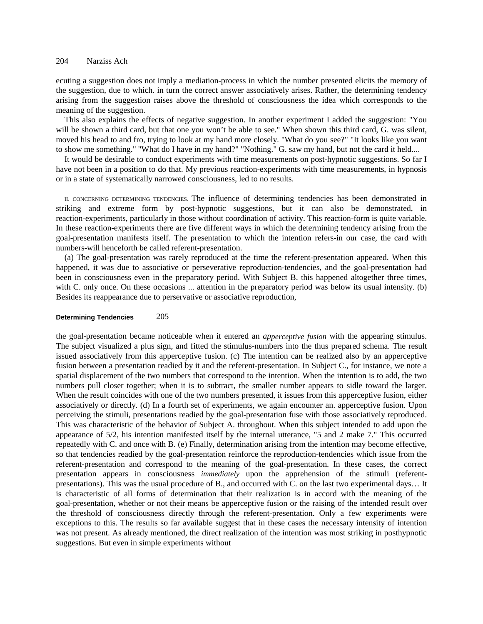# 204 Narziss Ach

ecuting a suggestion does not imply a mediation-process in which the number presented elicits the memory of the suggestion, due to which. in turn the correct answer associatively arises. Rather, the determining tendency arising from the suggestion raises above the threshold of consciousness the idea which corresponds to the meaning of the suggestion.

This also explains the effects of negative suggestion. In another experiment I added the suggestion: "You will be shown a third card, but that one you won't be able to see." When shown this third card, G. was silent, moved his head to and fro, trying to look at my hand more closely. "What do you see?" "It looks like you want to show me something." "What do I have in my hand?" "Nothing." G. saw my hand, but not the card it held....

It would be desirable to conduct experiments with time measurements on post-hypnotic suggestions. So far I have not been in a position to do that. My previous reaction-experiments with time measurements, in hypnosis or in a state of systematically narrowed consciousness, led to no results.

II. CONCERNING DETERMINING TENDENCIES. The influence of determining tendencies has been demonstrated in striking and extreme form by post-hypnotic suggestions, but it can also be demonstrated, in reaction-experiments, particularly in those without coordination of activity. This reaction-form is quite variable. In these reaction-experiments there are five different ways in which the determining tendency arising from the goal-presentation manifests itself. The presentation to which the intention refers-in our case, the card with numbers-will henceforth be called referent-presentation.

(a) The goal-presentation was rarely reproduced at the time the referent-presentation appeared. When this happened, it was due to associative or perseverative reproduction-tendencies, and the goal-presentation had been in consciousness even in the preparatory period. With Subject B. this happened altogether three times, with C. only once. On these occasions ... attention in the preparatory period was below its usual intensity. (b) Besides its reappearance due to perservative or associative reproduction,

# **Determining Tendencies** 205

the goal-presentation became noticeable when it entered an *apperceptive fusion* with the appearing stimulus. The subject visualized a plus sign, and fitted the stimulus-numbers into the thus prepared schema. The result issued associatively from this apperceptive fusion. (c) The intention can be realized also by an apperceptive fusion between a presentation readied by it and the referent-presentation. In Subject C., for instance, we note a spatial displacement of the two numbers that correspond to the intention. When the intention is to add, the two numbers pull closer together; when it is to subtract, the smaller number appears to sidle toward the larger. When the result coincides with one of the two numbers presented, it issues from this apperceptive fusion, either associatively or directly. (d) In a fourth set of experiments, we again encounter an. apperceptive fusion. Upon perceiving the stimuli, presentations readied by the goal-presentation fuse with those associatively reproduced. This was characteristic of the behavior of Subject A. throughout. When this subject intended to add upon the appearance of 5/2, his intention manifested itself by the internal utterance, "5 and 2 make 7." This occurred repeatedly with C. and once with B. (e) Finally, determination arising from the intention may become effective, so that tendencies readied by the goal-presentation reinforce the reproduction-tendencies which issue from the referent-presentation and correspond to the meaning of the goal-presentation. In these cases, the correct presentation appears in consciousness *immediately* upon the apprehension of the stimuli (referentpresentations). This was the usual procedure of B., and occurred with C. on the last two experimental days… It is characteristic of all forms of determination that their realization is in accord with the meaning of the goal-presentation, whether or not their means be apperceptive fusion or the raising of the intended result over the threshold of consciousness directly through the referent-presentation. Only a few experiments were exceptions to this. The results so far available suggest that in these cases the necessary intensity of intention was not present. As already mentioned, the direct realization of the intention was most striking in posthypnotic suggestions. But even in simple experiments without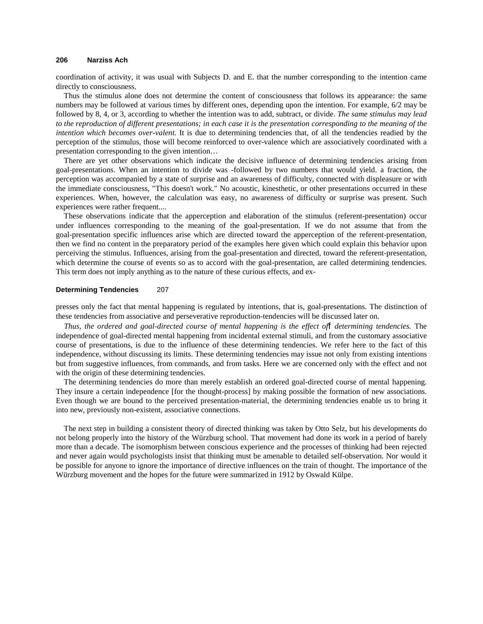#### **206 Narziss Ach**

coordination of activity, it was usual with Subjects D. and E. that the number corresponding to the intention came directly to consciousness.

Thus the stimulus alone does not determine the content of consciousness that follows its appearance: the same numbers may be followed at various times by different ones, depending upon the intention. For example, 6/2 may be followed by 8, 4, or 3, according to whether the intention was to add, subtract, or divide. *The same stimulus may lead to the reproduction of different presentations; in each case it is the presentation corresponding to the meaning of the intention which becomes over-valent*. It is due to determining tendencies that, of all the tendencies readied by the perception of the stimulus, those will become reinforced to over-valence which are associatively coordinated with a presentation corresponding to the given intention…

There are yet other observations which indicate the decisive influence of determining tendencies arising from goal-presentations. When an intention to divide was -followed by two numbers that would yield. a fraction, the perception was accompanied by a state of surprise and an awareness of difficulty, connected with displeasure or with the immediate consciousness, "This doesn't work." No acoustic, kinesthetic, or other presentations occurred in these experiences. When, however, the calculation was easy, no awareness of difficulty or surprise was present. Such experiences were rather frequent....

These observations indicate that the apperception and elaboration of the stimulus (referent-presentation) occur under influences corresponding to the meaning of the goal-presentation. If we do not assume that from the goal-presentation specific influences arise which are directed toward the apperception of the referent-presentation, then we find no content in the preparatory period of the examples here given which could explain this behavior upon perceiving the stimulus. Influences, arising from the goal-presentation and directed, toward the referent-presentation, which determine the course of events so as to accord with the goal-presentation, are called determining tendencies. This term does not imply anything as to the nature of these curious effects, and ex-

# **Determining Tendencies** 207

presses only the fact that mental happening is regulated by intentions, that is, goal-presentations. The distinction of these tendencies from associative and perseverative reproduction-tendencies will be discussed later on.

*Thus, the ordered and goal-directed course of mental happening is the effect of*f *determining tendencies.* The independence of goal-directed mental happening from incidental external stimuli, and from the customary associative course of presentations, is due to the influence of these determining tendencies. We refer here to the fact of this independence, without discussing its limits. These determining tendencies may issue not only from existing intentions but from suggestive influences, from commands, and from tasks. Here we are concerned only with the effect and not with the origin of these determining tendencies.

The determining tendencies do more than merely establish an ordered goal-directed course of mental happening. They insure a certain independence [for the thought-process] by making possible the formation of new associations. Even though we are bound to the perceived presentation-material, the determining tendencies enable us to bring it into new, previously non-existent, associative connections.

The next step in building a consistent theory of directed thinking was taken by Otto Selz, but his developments do not belong properly into the history of the Würzburg school. That movement had done its work in a period of barely more than a decade. The isomorphism between conscious experience and the processes of thinking had been rejected and never again would psychologists insist that thinking must be amenable to detailed self-observation. Nor would it be possible for anyone to ignore the importance of directive influences on the train of thought. The importance of the Würzburg movement and the hopes for the future were summarized in 1912 by Oswald Külpe.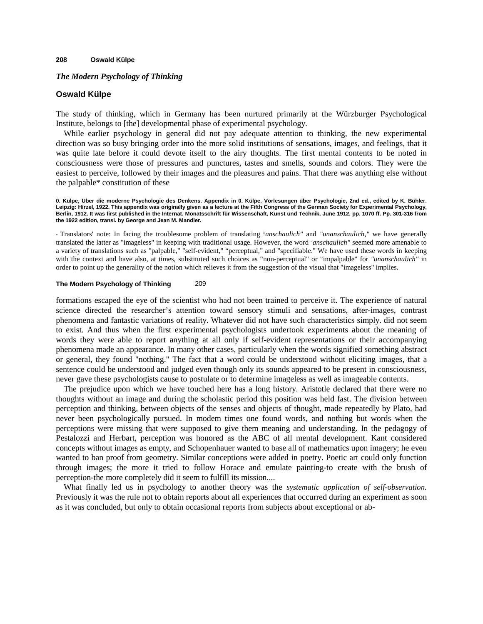# **208 Oswald Külpe**

# *The Modern Psychology of Thinking*

# **Oswald Külpe**

The study of thinking, which in Germany has been nurtured primarily at the Würzburger Psychological Institute, belongs to [the] developmental phase of experimental psychology.

While earlier psychology in general did not pay adequate attention to thinking, the new experimental direction was so busy bringing order into the more solid institutions of sensations, images, and feelings, that it was quite late before it could devote itself to the airy thoughts. The first mental contents to be noted in consciousness were those of pressures and punctures, tastes and smells, sounds and colors. They were the easiest to perceive, followed by their images and the pleasures and pains. That there was anything else without the palpable\* constitution of these

**0. Külpe, Uber die moderne Psychologie des Denkens. Appendix in 0. Külpe, Vorlesungen über Psychologie, 2nd ed., edited by K. Bühler. Leipzig: Hirzel, 1922. This appendix was originally given as a lecture at the Fifth Congress of the German Society for Experimental Psychology, Berlin, 1912. It was first published in the Internat. Monatsschrift für Wissenschaft, Kunst und Technik, June 1912, pp. 1070 ff. Pp. 301-316 from the 1922 edition, transl. by George and Jean M. Mandler.**

\* Translators' note: In facing the troublesome problem of translating "*anschaulich"* and *"unanschaulich,"* we have generally translated the latter as "imageless" in keeping with traditional usage. However, the word "*anschaulich"* seemed more amenable to a variety of translations such as "palpable," "self-evident," "perceptual," and "specifiable." We have used these words in keeping with the context and have also, at times, substituted such choices as "non-perceptual" or "impalpable" for *"unanschaulich"* in order to point up the generality of the notion which relieves it from the suggestion of the visual that "imageless" implies.

#### **The Modern Psychology of Thinking** 209

formations escaped the eye of the scientist who had not been trained to perceive it. The experience of natural science directed the researcher's attention toward sensory stimuli and sensations, after-images, contrast phenomena and fantastic variations of reality. Whatever did not have such characteristics simply. did not seem to exist. And thus when the first experimental psychologists undertook experiments about the meaning of words they were able to report anything at all only if self-evident representations or their accompanying phenomena made an appearance. In many other cases, particularly when the words signified something abstract or general, they found "nothing." The fact that a word could be understood without eliciting images, that a sentence could be understood and judged even though only its sounds appeared to be present in consciousness, never gave these psychologists cause to postulate or to determine imageless as well as imageable contents.

The prejudice upon which we have touched here has a long history. Aristotle declared that there were no thoughts without an image and during the scholastic period this position was held fast. The division between perception and thinking, between objects of the senses and objects of thought, made repeatedly by Plato, had never been psychologically pursued. In modem times one found words, and nothing but words when the perceptions were missing that were supposed to give them meaning and understanding. In the pedagogy of Pestalozzi and Herbart, perception was honored as the ABC of all mental development. Kant considered concepts without images as empty, and Schopenhauer wanted to base all of mathematics upon imagery; he even wanted to ban proof from geometry. Similar conceptions were added in poetry. Poetic art could only function through images; the more it tried to follow Horace and emulate painting-to create with the brush of perception-the more completely did it seem to fulfill its mission....

What finally led us in psychology to another theory was the *systematic application of self-observation.* Previously it was the rule not to obtain reports about all experiences that occurred during an experiment as soon as it was concluded, but only to obtain occasional reports from subjects about exceptional or ab-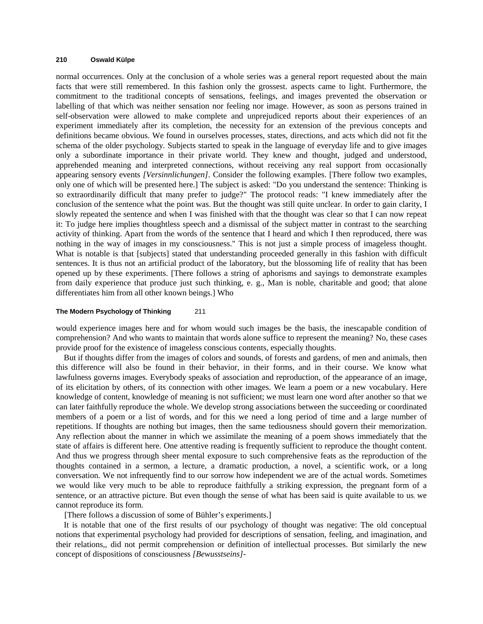## **210 Oswald Külpe**

normal occurrences. Only at the conclusion of a whole series was a general report requested about the main facts that were still remembered. In this fashion only the grossest. aspects came to light. Furthermore, the commitment to the traditional concepts of sensations, feelings, and images prevented the observation or labelling of that which was neither sensation nor feeling nor image. However, as soon as persons trained in self-observation were allowed to make complete and unprejudiced reports about their experiences of an experiment immediately after its completion, the necessity for an extension of the previous concepts and definitions became obvious. We found in ourselves processes, states, directions, and acts which did not fit the schema of the older psychology. Subjects started to speak in the language of everyday life and to give images only a subordinate importance in their private world. They knew and thought, judged and understood, apprehended meaning and interpreted connections, without receiving any real support from occasionally appearing sensory events *[Versinnlichungen].* Consider the following examples. [There follow two examples, only one of which will be presented here.] The subject is asked: "Do you understand the sentence: Thinking is so extraordinarily difficult that many prefer to judge?" The protocol reads: "I knew immediately after the conclusion of the sentence what the point was. But the thought was still quite unclear. In order to gain clarity, I slowly repeated the sentence and when I was finished with that the thought was clear so that I can now repeat it: To judge here implies thoughtless speech and a dismissal of the subject matter in contrast to the searching activity of thinking. Apart from the words of the sentence that I heard and which I then reproduced, there was nothing in the way of images in my consciousness." This is not just a simple process of imageless thought. What is notable is that [subjects] stated that understanding proceeded generally in this fashion with difficult sentences. It is thus not an artificial product of the laboratory, but the blossoming life of reality that has been opened up by these experiments. [There follows a string of aphorisms and sayings to demonstrate examples from daily experience that produce just such thinking, e. g., Man is noble, charitable and good; that alone differentiates him from all other known beings.] Who

### **The Modern Psychology of Thinking** 211

would experience images here and for whom would such images be the basis, the inescapable condition of comprehension? And who wants to maintain that words alone suffice to represent the meaning? No, these cases provide proof for the existence of imageless conscious contents, especially thoughts.

But if thoughts differ from the images of colors and sounds, of forests and gardens, of men and animals, then this difference will also be found in their behavior, in their forms, and in their course. We know what lawfulness governs images. Everybody speaks of association and reproduction, of the appearance of an image, of its elicitation by others, of its connection with other images. We learn a poem or a new vocabulary. Here knowledge of content, knowledge of meaning is not sufficient; we must learn one word after another so that we can later faithfully reproduce the whole. We develop strong associations between the succeeding or coordinated members of a poem or a list of words, and for this we need a long period of time and a large number of repetitions. If thoughts are nothing but images, then the same tediousness should govern their memorization. Any reflection about the manner in which we assimilate the meaning of a poem shows immediately that the state of affairs is different here. One attentive reading is frequently sufficient to reproduce the thought content. And thus we progress through sheer mental exposure to such comprehensive feats as the reproduction of the thoughts contained in a sermon, a lecture, a dramatic production, a novel, a scientific work, or a long conversation. We not infrequently find to our sorrow how independent we are of the actual words. Sometimes we would like very much to be able to reproduce faithfully a striking expression, the pregnant form of a sentence, or an attractive picture. But even though the sense of what has been said is quite available to us, we cannot reproduce its form.

[There follows a discussion of some of Bühler's experiments.]

It is notable that one of the first results of our psychology of thought was negative: The old conceptual notions that experimental psychology had provided for descriptions of sensation, feeling, and imagination, and their relations,, did not permit comprehension or definition of intellectual processes. But similarly the new concept of dispositions of consciousness *[Bewusstseins]-*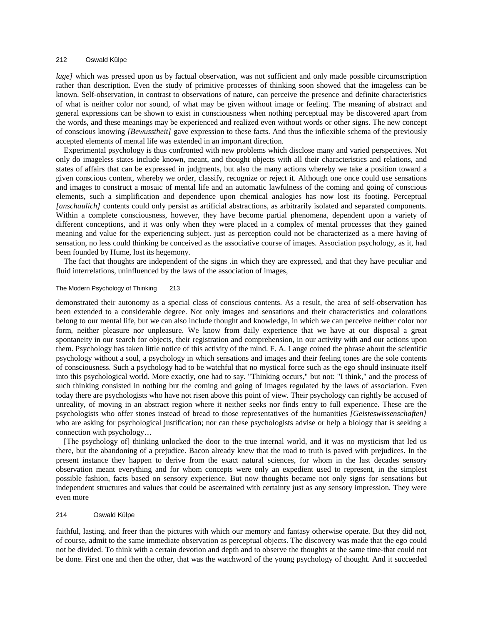#### 212 Oswald Külpe

*lage]* which was pressed upon us by factual observation, was not sufficient and only made possible circumscription rather than description. Even the study of primitive processes of thinking soon showed that the imageless can be known. Self-observation, in contrast to observations of nature, can perceive the presence and definite characteristics of what is neither color nor sound, of what may be given without image or feeling. The meaning of abstract and general expressions can be shown to exist in consciousness when nothing perceptual may be discovered apart from the words, and these meanings may be experienced and realized even without words or other signs. The new concept of conscious knowing *[Bewusstheit]* gave expression to these facts. And thus the inflexible schema of the previously accepted elements of mental life was extended in an important direction.

Experimental psychology is thus confronted with new problems which disclose many and varied perspectives. Not only do imageless states include known, meant, and thought objects with all their characteristics and relations, and states of affairs that can be expressed in judgments, but also the many actions whereby we take a position toward a given conscious content, whereby we order, classify, recognize or reject it. Although one once could use sensations and images to construct a mosaic of mental life and an automatic lawfulness of the coming and going of conscious elements, such a simplification and dependence upon chemical analogies has now lost its footing. Perceptual *[anschaulich]* contents could only persist as artificial abstractions, as arbitrarily isolated and separated components. Within a complete consciousness, however, they have become partial phenomena, dependent upon a variety of different conceptions, and it was only when they were placed in a complex of mental processes that they gained meaning and value for the experiencing subject. just as perception could not be characterized as a mere having of sensation, no less could thinking be conceived as the associative course of images. Association psychology, as it, had been founded by Hume, lost its hegemony.

The fact that thoughts are independent of the signs .in which they are expressed, and that they have peculiar and fluid interrelations, uninfluenced by the laws of the association of images,

#### The Modern Psychology of Thinking 213

demonstrated their autonomy as a special class of conscious contents. As a result, the area of self-observation has been extended to a considerable degree. Not only images and sensations and their characteristics and colorations belong to our mental life, but we can also include thought and knowledge, in which we can perceive neither color nor form, neither pleasure nor unpleasure. We know from daily experience that we have at our disposal a great spontaneity in our search for objects, their registration and comprehension, in our activity with and our actions upon them. Psychology has taken little notice of this activity of the mind. F. A. Lange coined the phrase about the scientific psychology without a soul, a psychology in which sensations and images and their feeling tones are the sole contents of consciousness. Such a psychology had to be watchful that no mystical force such as the ego should insinuate itself into this psychological world. More exactly, one had to say. "Thinking occurs," but not: "I think," and the process of such thinking consisted in nothing but the coming and going of images regulated by the laws of association. Even today there are psychologists who have not risen above this point of view. Their psychology can rightly be accused of unreality, of moving in an abstract region where it neither seeks nor finds entry to full experience. These are the psychologists who offer stones instead of bread to those representatives of the humanities *[Geisteswissenschaften]* who are asking for psychological justification; nor can these psychologists advise or help a biology that is seeking a connection with psychology…

[The psychology of] thinking unlocked the door to the true internal world, and it was no mysticism that led us there, but the abandoning of a prejudice. Bacon already knew that the road to truth is paved with prejudices. In the present instance they happen to derive from the exact natural sciences, for whom in the last decades sensory observation meant everything and for whom concepts were only an expedient used to represent, in the simplest possible fashion, facts based on sensory experience. But now thoughts became not only signs for sensations but independent structures and values that could be ascertained with certainty just as any sensory impression. They were even more

# 214 Oswald Külpe

faithful, lasting, and freer than the pictures with which our memory and fantasy otherwise operate. But they did not, of course, admit to the same immediate observation as perceptual objects. The discovery was made that the ego could not be divided. To think with a certain devotion and depth and to observe the thoughts at the same time-that could not be done. First one and then the other, that was the watchword of the young psychology of thought. And it succeeded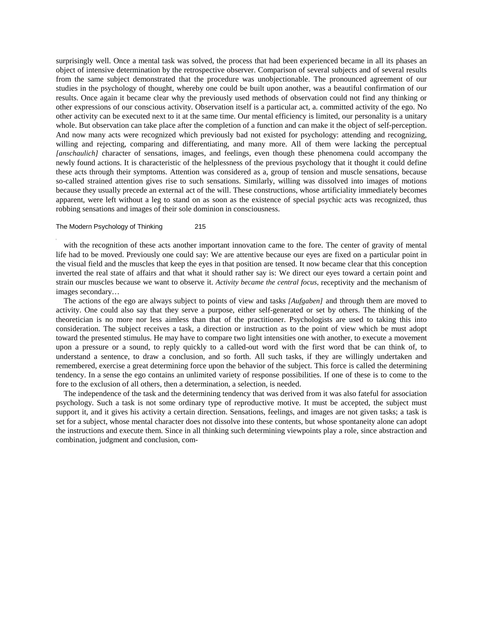surprisingly well. Once a mental task was solved, the process that had been experienced became in all its phases an object of intensive determination by the retrospective observer. Comparison of several subjects and of several results from the same subject demonstrated that the procedure was unobjectionable. The pronounced agreement of our studies in the psychology of thought, whereby one could be built upon another, was a beautiful confirmation of our results. Once again it became clear why the previously used methods of observation could not find any thinking or other expressions of our conscious activity. Observation itself is a particular act, a. committed activity of the ego. No other activity can be executed next to it at the same time. Our mental efficiency is limited, our personality is a unitary whole. But observation can take place after the completion of a function and can make it the object of self-perception. And now many acts were recognized which previously bad not existed for psychology: attending and recognizing, willing and rejecting, comparing and differentiating, and many more. All of them were lacking the perceptual *[anschaulich]* character of sensations, images, and feelings, even though these phenomena could accompany the newly found actions. It is characteristic of the helplessness of the previous psychology that it thought it could define these acts through their symptoms. Attention was considered as a, group of tension and muscle sensations, because so-called strained attention gives rise to such sensations. Similarly, willing was dissolved into images of motions because they usually precede an external act of the will. These constructions, whose artificiality immediately becomes apparent, were left without a leg to stand on as soon as the existence of special psychic acts was recognized, thus robbing sensations and images of their sole dominion in consciousness.

## The Modern Psychology of Thinking 215

with the recognition of these acts another important innovation came to the fore. The center of gravity of mental life had to be moved. Previously one could say: We are attentive because our eyes are fixed on a particular point in the visual field and the muscles that keep the eyes in that position are tensed. It now became clear that this conception inverted the real state of affairs and that what it should rather say is: We direct our eyes toward a certain point and strain our muscles because we want to observe it. *Activity became the central focus,* receptivity and the mechanism of images secondary…

The actions of the ego are always subject to points of view and tasks *[Aufgaben]* and through them are moved to activity. One could also say that they serve a purpose, either self-generated or set by others. The thinking of the theoretician is no more nor less aimless than that of the practitioner. Psychologists are used to taking this into consideration. The subject receives a task, a direction or instruction as to the point of view which be must adopt toward the presented stimulus. He may have to compare two light intensities one with another, to execute a movement upon a pressure or a sound, to reply quickly to a called-out word with the first word that be can think of, to understand a sentence, to draw a conclusion, and so forth. All such tasks, if they are willingly undertaken and remembered, exercise a great determining force upon the behavior of the subject. This force is called the determining tendency. In a sense the ego contains an unlimited variety of response possibilities. If one of these is to come to the fore to the exclusion of all others, then a determination, a selection, is needed.

The independence of the task and the determining tendency that was derived from it was also fateful for association psychology. Such a task is not some ordinary type of reproductive motive. It must be accepted, the subject must support it, and it gives his activity a certain direction. Sensations, feelings, and images are not given tasks; a task is set for a subject, whose mental character does not dissolve into these contents, but whose spontaneity alone can adopt the instructions and execute them. Since in all thinking such determining viewpoints play a role, since abstraction and combination, judgment and conclusion, com-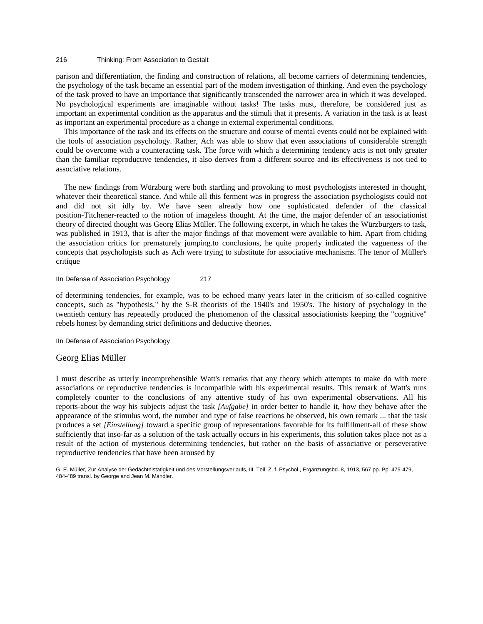# 216 Thinking: From Association to Gestalt

parison and differentiation, the finding and construction of relations, all become carriers of determining tendencies, the psychology of the task became an essential part of the modem investigation of thinking. And even the psychology of the task proved to have an importance that significantly transcended the narrower area in which it was developed. No psychological experiments are imaginable without tasks! The tasks must, therefore, be considered just as important an experimental condition as the apparatus and the stimuli that it presents. A variation in the task is at least as important an experimental procedure as a change in external experimental conditions.

This importance of the task and its effects on the structure and course of mental events could not be explained with the tools of association psychology. Rather, Ach was able to show that even associations of considerable strength could be overcome with a counteracting task. The force with which a determining tendency acts is not only greater than the familiar reproductive tendencies, it also derives from a different source and its effectiveness is not tied to associative relations.

The new findings from Würzburg were both startling and provoking to most psychologists interested in thought, whatever their theoretical stance. And while all this ferment was in progress the association psychologists could not and did not sit idly by. We have seen already how one sophisticated defender of the classical position-Titchener-reacted to the notion of imageless thought. At the time, the major defender of an associationist theory of directed thought was Georg Elias Müller. The following excerpt, in which he takes the Würzburgers to task, was published in 1913, that is after the major findings of that movement were available to him. Apart from chiding the association critics for prematurely jumping.to conclusions, he quite properly indicated the vagueness of the concepts that psychologists such as Ach were trying to substitute for associative mechanisms. The tenor of Müller's critique

## IIn Defense of Association Psychology 217

of determining tendencies, for example, was to be echoed many years later in the criticism of so-called cognitive concepts, such as "hypothesis," by the S-R theorists of the 1940's and 1950's. The history of psychology in the twentieth century has repeatedly produced the phenomenon of the classical associationists keeping the "cognitive" rebels honest by demanding strict definitions and deductive theories.

IIn Defense of Association Psychology

# Georg Elias Müller

I must describe as utterly incomprehensible Watt's remarks that any theory which attempts to make do with mere associations or reproductive tendencies is incompatible with his experimental results. This remark of Watt's runs completely counter to the conclusions of any attentive study of his own experimental observations. All his reports-about the way his subjects adjust the task *[Aufgabe]* in order better to handle it, how they behave after the appearance of the stimulus word, the number and type of false reactions he observed, his own remark ... that the task produces a set *[Einstellung]* toward a specific group of representations favorable for its fulfillment-all of these show sufficiently that inso-far as a solution of the task actually occurs in his experiments, this solution takes place not as a result of the action of mysterious determining tendencies, but rather on the basis of associative or perseverative reproductive tendencies that have been aroused by

G. E. MüIler, Zur Analyse der Gedächtnistätigkeit und des Vorstellungsverlaufs, III. Teil. Z. f. Psychol., Ergänzungsbd. 8, 1913, 567 pp. Pp. 475-479, 484-489 transl. by George and Jean M. Mandler.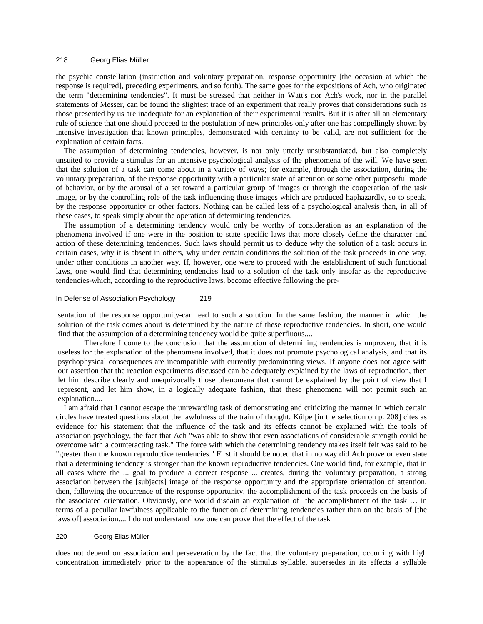#### 218 Georg Elias Müller

the psychic constellation (instruction and voluntary preparation, response opportunity [the occasion at which the response is required], preceding experiments, and so forth). The same goes for the expositions of Ach, who originated the term "determining tendencies". It must be stressed that neither in Watt's nor Ach's work, nor in the parallel statements of Messer, can be found the slightest trace of an experiment that really proves that considerations such as those presented by us are inadequate for an explanation of their experimental results. But it is after all an elementary rule of science that one should proceed to the postulation of new principles only after one has compellingly shown by intensive investigation that known principles, demonstrated with certainty to be valid, are not sufficient for the explanation of certain facts.

The assumption of determining tendencies, however, is not only utterly unsubstantiated, but also completely unsuited to provide a stimulus for an intensive psychological analysis of the phenomena of the will. We have seen that the solution of a task can come about in a variety of ways; for example, through the association, during the voluntary preparation, of the response opportunity with a particular state of attention or some other purposeful mode of behavior, or by the arousal of a set toward a particular group of images or through the cooperation of the task image, or by the controlling role of the task influencing those images which are produced haphazardly, so to speak, by the response opportunity or other factors. Nothing can be called less of a psychological analysis than, in all of these cases, to speak simply about the operation of determining tendencies.

The assumption of a determining tendency would only be worthy of consideration as an explanation of the phenomena involved if one were in the position to state specific laws that more closely define the character and action of these determining tendencies. Such laws should permit us to deduce why the solution of a task occurs in certain cases, why it is absent in others, why under certain conditions the solution of the task proceeds in one way, under other conditions in another way. If, however, one were to proceed with the establishment of such functional laws, one would find that determining tendencies lead to a solution of the task only insofar as the reproductive tendencies-which, according to the reproductive laws, become effective following the pre-

# In Defense of Association Psychology 219

sentation of the response opportunity-can lead to such a solution. In the same fashion, the manner in which the solution of the task comes about is determined by the nature of these reproductive tendencies. In short, one would find that the assumption of a determining tendency would be quite superfluous....

Therefore I come to the conclusion that the assumption of determining tendencies is unproven, that it is useless for the explanation of the phenomena involved, that it does not promote psychological analysis, and that its psychophysical consequences are incompatible with currently predominating views. If anyone does not agree with our assertion that the reaction experiments discussed can be adequately explained by the laws of reproduction, then let him describe clearly and unequivocally those phenomena that cannot be explained by the point of view that I represent, and let him show, in a logically adequate fashion, that these phenomena will not permit such an explanation....

I am afraid that I cannot escape the unrewarding task of demonstrating and criticizing the manner in which certain circles have treated questions about the lawfulness of the train of thought. Külpe [in the selection on p. 208] cites as evidence for his statement that the influence of the task and its effects cannot be explained with the tools of association psychology, the fact that Ach "was able to show that even associations of considerable strength could be overcome with a counteracting task." The force with which the determining tendency makes itself felt was said to be "greater than the known reproductive tendencies." First it should be noted that in no way did Ach prove or even state that a determining tendency is stronger than the known reproductive tendencies. One would find, for example, that in all cases where the ... goal to produce a correct response ... creates, during the voluntary preparation, a strong association between the [subjects] image of the response opportunity and the appropriate orientation of attention, then, following the occurrence of the response opportunity, the accomplishment of the task proceeds on the basis of the associated orientation. Obviously, one would disdain an explanation of the accomplishment of the task … in terms of a peculiar lawfulness applicable to the function of determining tendencies rather than on the basis of [the laws of] association.... I do not understand how one can prove that the effect of the task

#### 220 Georg Elias Müller

does not depend on association and perseveration by the fact that the voluntary preparation, occurring with high concentration immediately prior to the appearance of the stimulus syllable, supersedes in its effects a syllable